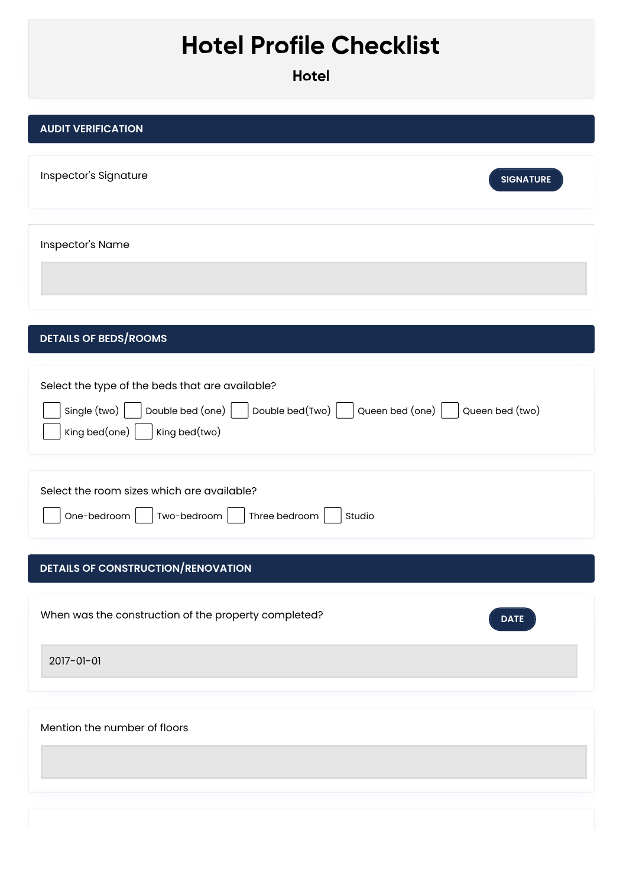## **Hotel Profile Checklist**

**Hotel**

| <b>AUDIT VERIFICATION</b>                                                                                                                                                                      |
|------------------------------------------------------------------------------------------------------------------------------------------------------------------------------------------------|
| Inspector's Signature<br><b>SIGNATURE</b>                                                                                                                                                      |
| Inspector's Name                                                                                                                                                                               |
| <b>DETAILS OF BEDS/ROOMS</b>                                                                                                                                                                   |
| Select the type of the beds that are available?<br>Double bed(Two) $\vert$<br>Single (two)<br>Double bed (one) $\vert$<br>Queen bed (one)<br>Queen bed (two)<br>King bed(one)<br>King bed(two) |
| Select the room sizes which are available?<br>One-bedroom<br>Two-bedroom<br>Three bedroom<br>Studio                                                                                            |
| <b>DETAILS OF CONSTRUCTION/RENOVATION</b>                                                                                                                                                      |
| When was the construction of the property completed?<br><b>DATE</b>                                                                                                                            |
| 2017-01-01                                                                                                                                                                                     |
| Mention the number of floors                                                                                                                                                                   |
|                                                                                                                                                                                                |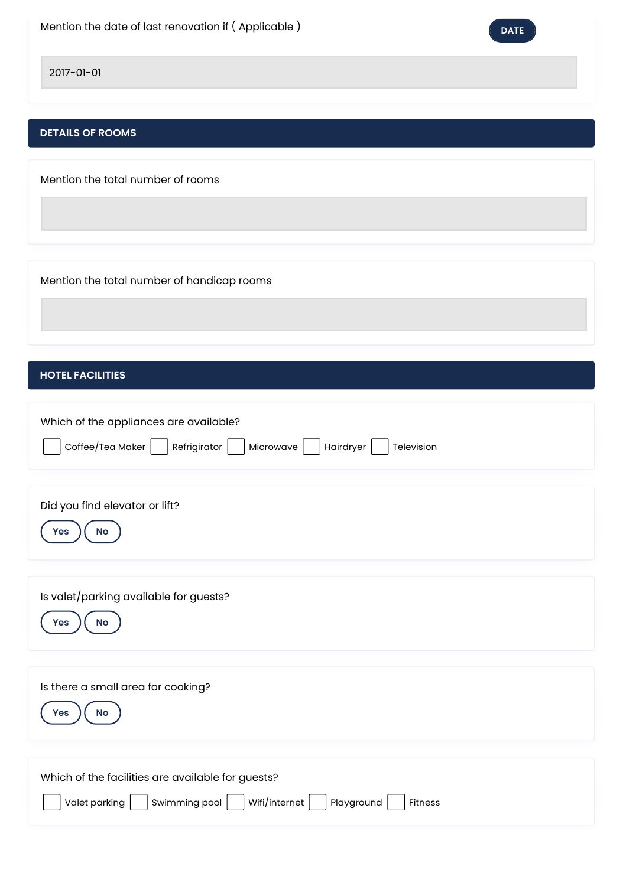

2017-01-01

## **DETAILS OF ROOMS**

Mention the total number of rooms

Mention the total number of handicap rooms

## **HOTEL FACILITIES**

| Which of the appliances are available?<br>$\textsf{Coffee}/\textsf{Tea}$ Maker $\vert$<br>Refrigirator<br>Microwave<br>Hairdryer<br>Television |
|------------------------------------------------------------------------------------------------------------------------------------------------|
| Did you find elevator or lift?<br>No<br>Yes                                                                                                    |
| Is valet/parking available for guests?<br><b>No</b><br>Yes                                                                                     |
| Is there a small area for cooking?<br><b>No</b><br>Yes                                                                                         |
| Which of the facilities are available for guests?<br>Wifi/internet  <br>Valet parking<br>Swimming pool<br>Playground<br>Fitness                |